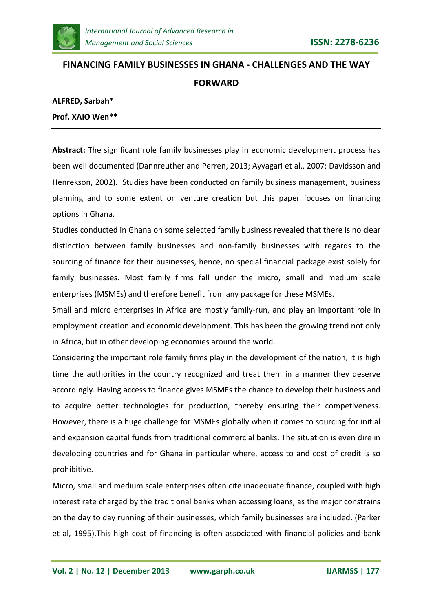

# **FINANCING FAMILY BUSINESSES IN GHANA - CHALLENGES AND THE WAY FORWARD**

**ALFRED, Sarbah\***

**Prof. XAIO Wen\*\***

**Abstract:** The significant role family businesses play in economic development process has been well documented (Dannreuther and Perren, 2013; Ayyagari et al., 2007; Davidsson and Henrekson, 2002). Studies have been conducted on family business management, business planning and to some extent on venture creation but this paper focuses on financing options in Ghana.

Studies conducted in Ghana on some selected family business revealed that there is no clear distinction between family businesses and non-family businesses with regards to the sourcing of finance for their businesses, hence, no special financial package exist solely for family businesses. Most family firms fall under the micro, small and medium scale enterprises (MSMEs) and therefore benefit from any package for these MSMEs.

Small and micro enterprises in Africa are mostly family-run, and play an important role in employment creation and economic development. This has been the growing trend not only in Africa, but in other developing economies around the world.

Considering the important role family firms play in the development of the nation, it is high time the authorities in the country recognized and treat them in a manner they deserve accordingly. Having access to finance gives MSMEs the chance to develop their business and to acquire better technologies for production, thereby ensuring their competiveness. However, there is a huge challenge for MSMEs globally when it comes to sourcing for initial and expansion capital funds from traditional commercial banks. The situation is even dire in developing countries and for Ghana in particular where, access to and cost of credit is so prohibitive.

Micro, small and medium scale enterprises often cite inadequate finance, coupled with high interest rate charged by the traditional banks when accessing loans, as the major constrains on the day to day running of their businesses, which family businesses are included. (Parker et al, 1995).This high cost of financing is often associated with financial policies and bank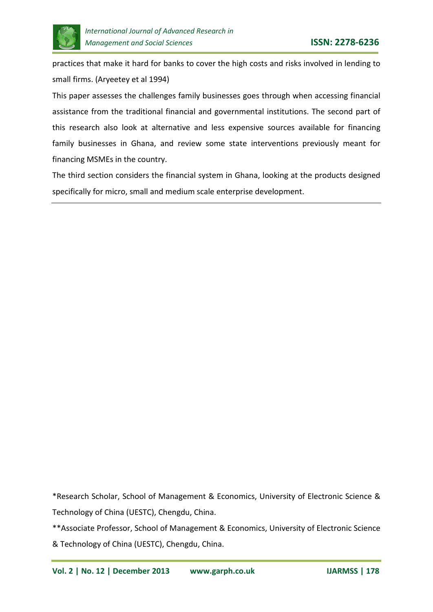

practices that make it hard for banks to cover the high costs and risks involved in lending to small firms. (Aryeetey et al 1994)

This paper assesses the challenges family businesses goes through when accessing financial assistance from the traditional financial and governmental institutions. The second part of this research also look at alternative and less expensive sources available for financing family businesses in Ghana, and review some state interventions previously meant for financing MSMEs in the country.

The third section considers the financial system in Ghana, looking at the products designed specifically for micro, small and medium scale enterprise development.

\*Research Scholar, School of Management & Economics, University of Electronic Science & Technology of China (UESTC), Chengdu, China.

\*\*Associate Professor, School of Management & Economics, University of Electronic Science & Technology of China (UESTC), Chengdu, China.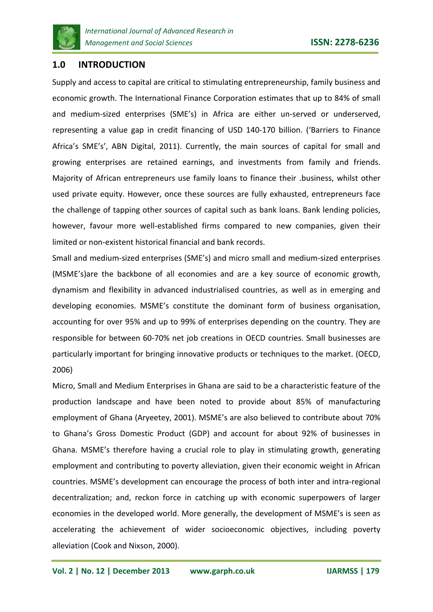

# **1.0 INTRODUCTION**

Supply and access to capital are critical to stimulating entrepreneurship, family business and economic growth. The International Finance Corporation estimates that up to 84% of small and medium-sized enterprises (SME's) in Africa are either un-served or underserved, representing a value gap in credit financing of USD 140-170 billion. ('Barriers to Finance Africa's SME's', ABN Digital, 2011). Currently, the main sources of capital for small and growing enterprises are retained earnings, and investments from family and friends. Majority of African entrepreneurs use family loans to finance their .business, whilst other used private equity. However, once these sources are fully exhausted, entrepreneurs face the challenge of tapping other sources of capital such as bank loans. Bank lending policies, however, favour more well-established firms compared to new companies, given their limited or non-existent historical financial and bank records.

Small and medium-sized enterprises (SME's) and micro small and medium-sized enterprises (MSME's)are the backbone of all economies and are a key source of economic growth, dynamism and flexibility in advanced industrialised countries, as well as in emerging and developing economies. MSME's constitute the dominant form of business organisation, accounting for over 95% and up to 99% of enterprises depending on the country. They are responsible for between 60-70% net job creations in OECD countries. Small businesses are particularly important for bringing innovative products or techniques to the market. (OECD, 2006)

Micro, Small and Medium Enterprises in Ghana are said to be a characteristic feature of the production landscape and have been noted to provide about 85% of manufacturing employment of Ghana (Aryeetey, 2001). MSME's are also believed to contribute about 70% to Ghana's Gross Domestic Product (GDP) and account for about 92% of businesses in Ghana. MSME's therefore having a crucial role to play in stimulating growth, generating employment and contributing to poverty alleviation, given their economic weight in African countries. MSME's development can encourage the process of both inter and intra-regional decentralization; and, reckon force in catching up with economic superpowers of larger economies in the developed world. More generally, the development of MSME's is seen as accelerating the achievement of wider socioeconomic objectives, including poverty alleviation (Cook and Nixson, 2000).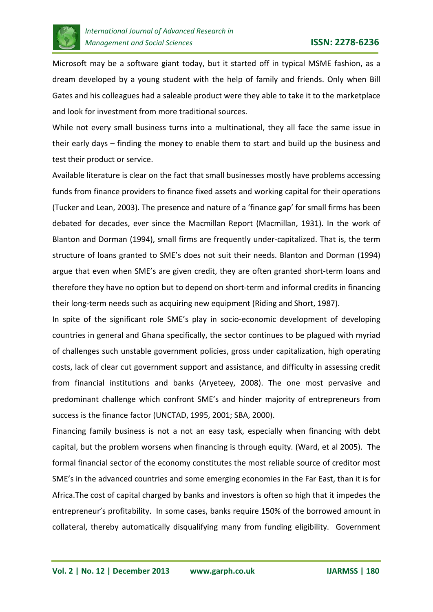

Microsoft may be a software giant today, but it started off in typical MSME fashion, as a dream developed by a young student with the help of family and friends. Only when Bill Gates and his colleagues had a saleable product were they able to take it to the marketplace and look for investment from more traditional sources.

While not every small business turns into a multinational, they all face the same issue in their early days – finding the money to enable them to start and build up the business and test their product or service.

Available literature is clear on the fact that small businesses mostly have problems accessing funds from finance providers to finance fixed assets and working capital for their operations (Tucker and Lean, 2003). The presence and nature of a 'finance gap' for small firms has been debated for decades, ever since the Macmillan Report (Macmillan, 1931). In the work of Blanton and Dorman (1994), small firms are frequently under-capitalized. That is, the term structure of loans granted to SME's does not suit their needs. Blanton and Dorman (1994) argue that even when SME's are given credit, they are often granted short-term loans and therefore they have no option but to depend on short-term and informal credits in financing their long-term needs such as acquiring new equipment (Riding and Short, 1987).

In spite of the significant role SME's play in socio-economic development of developing countries in general and Ghana specifically, the sector continues to be plagued with myriad of challenges such unstable government policies, gross under capitalization, high operating costs, lack of clear cut government support and assistance, and difficulty in assessing credit from financial institutions and banks (Aryeteey, 2008). The one most pervasive and predominant challenge which confront SME's and hinder majority of entrepreneurs from success is the finance factor (UNCTAD, 1995, 2001; SBA, 2000).

Financing family business is not a not an easy task, especially when financing with debt capital, but the problem worsens when financing is through equity. (Ward, et al 2005). The formal financial sector of the economy constitutes the most reliable source of creditor most SME's in the advanced countries and some emerging economies in the Far East, than it is for Africa.The cost of capital charged by banks and investors is often so high that it impedes the entrepreneur's profitability. In some cases, banks require 150% of the borrowed amount in collateral, thereby automatically disqualifying many from funding eligibility. Government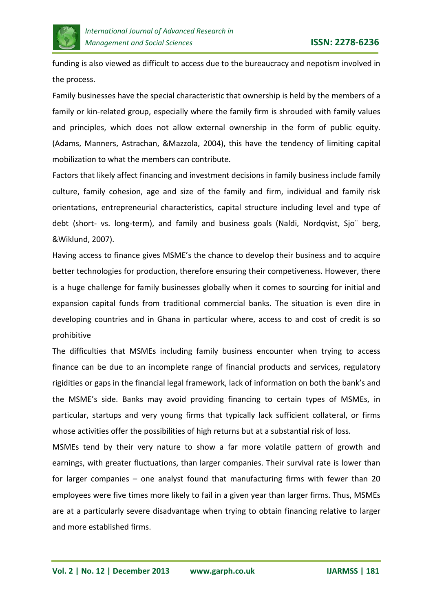

funding is also viewed as difficult to access due to the bureaucracy and nepotism involved in the process.

Family businesses have the special characteristic that ownership is held by the members of a family or kin-related group, especially where the family firm is shrouded with family values and principles, which does not allow external ownership in the form of public equity. (Adams, Manners, Astrachan, &Mazzola, 2004), this have the tendency of limiting capital mobilization to what the members can contribute.

Factors that likely affect financing and investment decisions in family business include family culture, family cohesion, age and size of the family and firm, individual and family risk orientations, entrepreneurial characteristics, capital structure including level and type of debt (short- vs. long-term), and family and business goals (Naldi, Nordqvist, Sjo¨ berg, &Wiklund, 2007).

Having access to finance gives MSME's the chance to develop their business and to acquire better technologies for production, therefore ensuring their competiveness. However, there is a huge challenge for family businesses globally when it comes to sourcing for initial and expansion capital funds from traditional commercial banks. The situation is even dire in developing countries and in Ghana in particular where, access to and cost of credit is so prohibitive

The difficulties that MSMEs including family business encounter when trying to access finance can be due to an incomplete range of financial products and services, regulatory rigidities or gaps in the financial legal framework, lack of information on both the bank's and the MSME's side. Banks may avoid providing financing to certain types of MSMEs, in particular, startups and very young firms that typically lack sufficient collateral, or firms whose activities offer the possibilities of high returns but at a substantial risk of loss.

MSMEs tend by their very nature to show a far more volatile pattern of growth and earnings, with greater fluctuations, than larger companies. Their survival rate is lower than for larger companies – one analyst found that manufacturing firms with fewer than 20 employees were five times more likely to fail in a given year than larger firms. Thus, MSMEs are at a particularly severe disadvantage when trying to obtain financing relative to larger and more established firms.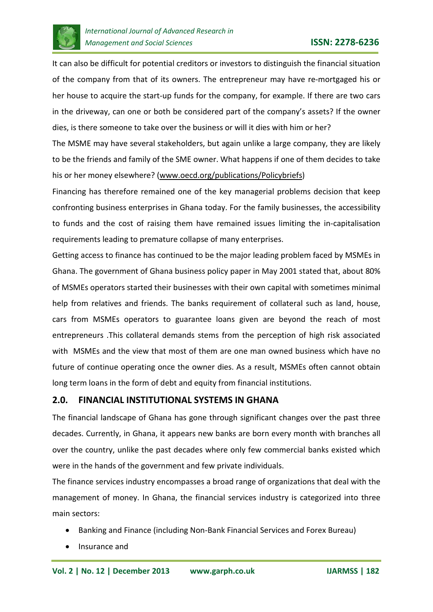

It can also be difficult for potential creditors or investors to distinguish the financial situation of the company from that of its owners. The entrepreneur may have re-mortgaged his or her house to acquire the start-up funds for the company, for example. If there are two cars in the driveway, can one or both be considered part of the company's assets? If the owner dies, is there someone to take over the business or will it dies with him or her?

The MSME may have several stakeholders, but again unlike a large company, they are likely to be the friends and family of the SME owner. What happens if one of them decides to take his or her money elsewhere? [\(www.oecd.org/publications/Policybriefs\)](http://www.oecd.org/publications/Policybriefs)

Financing has therefore remained one of the key managerial problems decision that keep confronting business enterprises in Ghana today. For the family businesses, the accessibility to funds and the cost of raising them have remained issues limiting the in-capitalisation requirements leading to premature collapse of many enterprises.

Getting access to finance has continued to be the major leading problem faced by MSMEs in Ghana. The government of Ghana business policy paper in May 2001 stated that, about 80% of MSMEs operators started their businesses with their own capital with sometimes minimal help from relatives and friends. The banks requirement of collateral such as land, house, cars from MSMEs operators to guarantee loans given are beyond the reach of most entrepreneurs .This collateral demands stems from the perception of high risk associated with MSMEs and the view that most of them are one man owned business which have no future of continue operating once the owner dies. As a result, MSMEs often cannot obtain long term loans in the form of debt and equity from financial institutions.

# **2.0. FINANCIAL INSTITUTIONAL SYSTEMS IN GHANA**

The financial landscape of Ghana has gone through significant changes over the past three decades. Currently, in Ghana, it appears new banks are born every month with branches all over the country, unlike the past decades where only few commercial banks existed which were in the hands of the government and few private individuals.

The finance services industry encompasses a broad range of organizations that deal with the management of money. In Ghana, the financial services industry is categorized into three main sectors:

- Banking and Finance (including Non-Bank Financial Services and Forex Bureau)
- Insurance and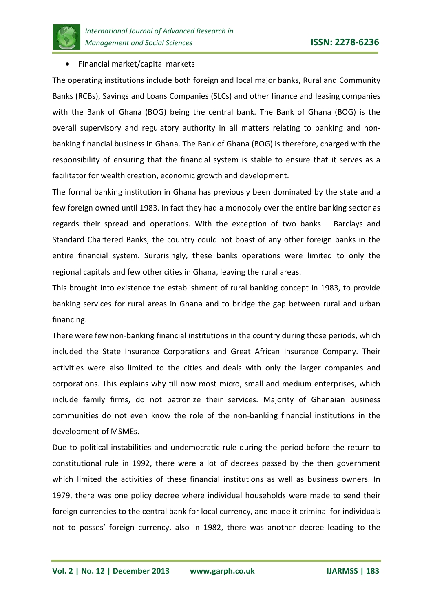

## • Financial market/capital markets

The operating institutions include both foreign and local major banks, Rural and Community Banks (RCBs), Savings and Loans Companies (SLCs) and other finance and leasing companies with the Bank of Ghana (BOG) being the central bank. The Bank of Ghana (BOG) is the overall supervisory and regulatory authority in all matters relating to banking and nonbanking financial business in Ghana. The Bank of Ghana (BOG) is therefore, charged with the responsibility of ensuring that the financial system is stable to ensure that it serves as a facilitator for wealth creation, economic growth and development.

The formal banking institution in Ghana has previously been dominated by the state and a few foreign owned until 1983. In fact they had a monopoly over the entire banking sector as regards their spread and operations. With the exception of two banks – Barclays and Standard Chartered Banks, the country could not boast of any other foreign banks in the entire financial system. Surprisingly, these banks operations were limited to only the regional capitals and few other cities in Ghana, leaving the rural areas.

This brought into existence the establishment of rural banking concept in 1983, to provide banking services for rural areas in Ghana and to bridge the gap between rural and urban financing.

There were few non-banking financial institutions in the country during those periods, which included the State Insurance Corporations and Great African Insurance Company. Their activities were also limited to the cities and deals with only the larger companies and corporations. This explains why till now most micro, small and medium enterprises, which include family firms, do not patronize their services. Majority of Ghanaian business communities do not even know the role of the non-banking financial institutions in the development of MSMEs.

Due to political instabilities and undemocratic rule during the period before the return to constitutional rule in 1992, there were a lot of decrees passed by the then government which limited the activities of these financial institutions as well as business owners. In 1979, there was one policy decree where individual households were made to send their foreign currencies to the central bank for local currency, and made it criminal for individuals not to posses' foreign currency, also in 1982, there was another decree leading to the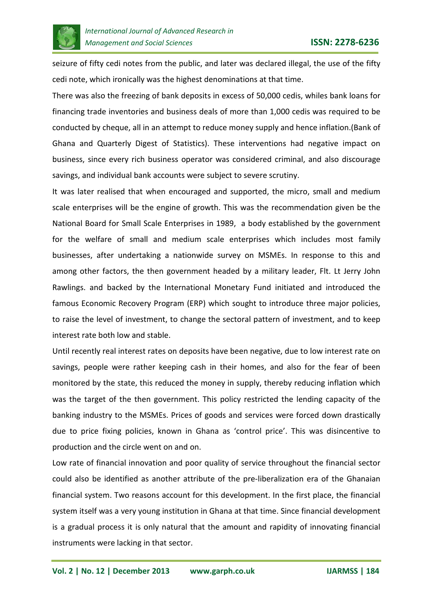

seizure of fifty cedi notes from the public, and later was declared illegal, the use of the fifty cedi note, which ironically was the highest denominations at that time.

There was also the freezing of bank deposits in excess of 50,000 cedis, whiles bank loans for financing trade inventories and business deals of more than 1,000 cedis was required to be conducted by cheque, all in an attempt to reduce money supply and hence inflation.(Bank of Ghana and Quarterly Digest of Statistics). These interventions had negative impact on business, since every rich business operator was considered criminal, and also discourage savings, and individual bank accounts were subject to severe scrutiny.

It was later realised that when encouraged and supported, the micro, small and medium scale enterprises will be the engine of growth. This was the recommendation given be the National Board for Small Scale Enterprises in 1989, a body established by the government for the welfare of small and medium scale enterprises which includes most family businesses, after undertaking a nationwide survey on MSMEs. In response to this and among other factors, the then government headed by a military leader, Flt. Lt Jerry John Rawlings. and backed by the International Monetary Fund initiated and introduced the famous Economic Recovery Program (ERP) which sought to introduce three major policies, to raise the level of investment, to change the sectoral pattern of investment, and to keep interest rate both low and stable.

Until recently real interest rates on deposits have been negative, due to low interest rate on savings, people were rather keeping cash in their homes, and also for the fear of been monitored by the state, this reduced the money in supply, thereby reducing inflation which was the target of the then government. This policy restricted the lending capacity of the banking industry to the MSMEs. Prices of goods and services were forced down drastically due to price fixing policies, known in Ghana as 'control price'. This was disincentive to production and the circle went on and on.

Low rate of financial innovation and poor quality of service throughout the financial sector could also be identified as another attribute of the pre-liberalization era of the Ghanaian financial system. Two reasons account for this development. In the first place, the financial system itself was a very young institution in Ghana at that time. Since financial development is a gradual process it is only natural that the amount and rapidity of innovating financial instruments were lacking in that sector.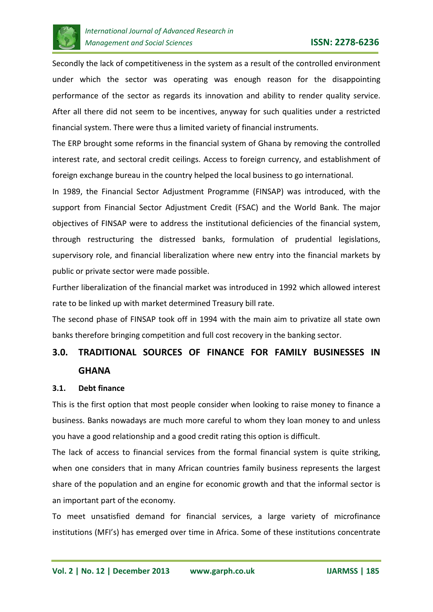

Secondly the lack of competitiveness in the system as a result of the controlled environment under which the sector was operating was enough reason for the disappointing performance of the sector as regards its innovation and ability to render quality service. After all there did not seem to be incentives, anyway for such qualities under a restricted financial system. There were thus a limited variety of financial instruments.

The ERP brought some reforms in the financial system of Ghana by removing the controlled interest rate, and sectoral credit ceilings. Access to foreign currency, and establishment of foreign exchange bureau in the country helped the local business to go international.

In 1989, the Financial Sector Adjustment Programme (FINSAP) was introduced, with the support from Financial Sector Adjustment Credit (FSAC) and the World Bank. The major objectives of FINSAP were to address the institutional deficiencies of the financial system, through restructuring the distressed banks, formulation of prudential legislations, supervisory role, and financial liberalization where new entry into the financial markets by public or private sector were made possible.

Further liberalization of the financial market was introduced in 1992 which allowed interest rate to be linked up with market determined Treasury bill rate.

The second phase of FINSAP took off in 1994 with the main aim to privatize all state own banks therefore bringing competition and full cost recovery in the banking sector.

# **3.0. TRADITIONAL SOURCES OF FINANCE FOR FAMILY BUSINESSES IN GHANA**

#### **3.1. Debt finance**

This is the first option that most people consider when looking to raise money to finance a business. Banks nowadays are much more careful to whom they loan money to and unless you have a good relationship and a good credit rating this option is difficult.

The lack of access to financial services from the formal financial system is quite striking, when one considers that in many African countries family business represents the largest share of the population and an engine for economic growth and that the informal sector is an important part of the economy.

To meet unsatisfied demand for financial services, a large variety of microfinance institutions (MFI's) has emerged over time in Africa. Some of these institutions concentrate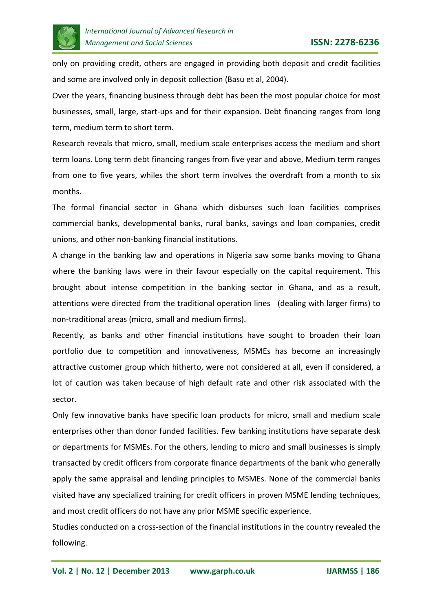

only on providing credit, others are engaged in providing both deposit and credit facilities and some are involved only in deposit collection (Basu et al, 2004).

Over the years, financing business through debt has been the most popular choice for most businesses, small, large, start-ups and for their expansion. Debt financing ranges from long term, medium term to short term.

Research reveals that micro, small, medium scale enterprises access the medium and short term loans. Long term debt financing ranges from five year and above, Medium term ranges from one to five years, whiles the short term involves the overdraft from a month to six months.

The formal financial sector in Ghana which disburses such loan facilities comprises commercial banks, developmental banks, rural banks, savings and loan companies, credit unions, and other non-banking financial institutions.

A change in the banking law and operations in Nigeria saw some banks moving to Ghana where the banking laws were in their favour especially on the capital requirement. This brought about intense competition in the banking sector in Ghana, and as a result, attentions were directed from the traditional operation lines (dealing with larger firms) to non-traditional areas (micro, small and medium firms).

Recently, as banks and other financial institutions have sought to broaden their loan portfolio due to competition and innovativeness, MSMEs has become an increasingly attractive customer group which hitherto, were not considered at all, even if considered, a lot of caution was taken because of high default rate and other risk associated with the sector.

Only few innovative banks have specific loan products for micro, small and medium scale enterprises other than donor funded facilities. Few banking institutions have separate desk or departments for MSMEs. For the others, lending to micro and small businesses is simply transacted by credit officers from corporate finance departments of the bank who generally apply the same appraisal and lending principles to MSMEs. None of the commercial banks visited have any specialized training for credit officers in proven MSME lending techniques, and most credit officers do not have any prior MSME specific experience.

Studies conducted on a cross-section of the financial institutions in the country revealed the following.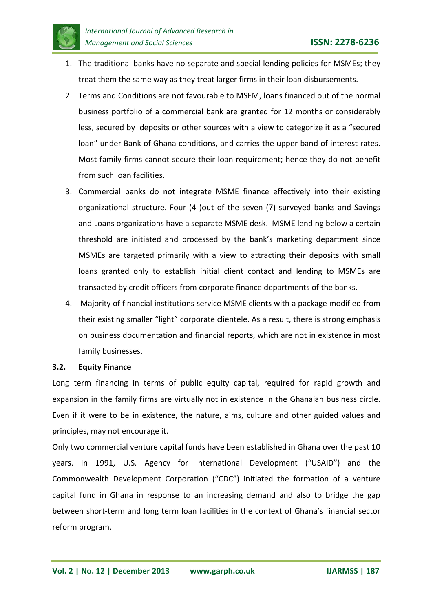

- 1. The traditional banks have no separate and special lending policies for MSMEs; they treat them the same way as they treat larger firms in their loan disbursements.
- 2. Terms and Conditions are not favourable to MSEM, loans financed out of the normal business portfolio of a commercial bank are granted for 12 months or considerably less, secured by deposits or other sources with a view to categorize it as a "secured loan" under Bank of Ghana conditions, and carries the upper band of interest rates. Most family firms cannot secure their loan requirement; hence they do not benefit from such loan facilities.
- 3. Commercial banks do not integrate MSME finance effectively into their existing organizational structure. Four (4 )out of the seven (7) surveyed banks and Savings and Loans organizations have a separate MSME desk. MSME lending below a certain threshold are initiated and processed by the bank's marketing department since MSMEs are targeted primarily with a view to attracting their deposits with small loans granted only to establish initial client contact and lending to MSMEs are transacted by credit officers from corporate finance departments of the banks.
- 4. Majority of financial institutions service MSME clients with a package modified from their existing smaller "light" corporate clientele. As a result, there is strong emphasis on business documentation and financial reports, which are not in existence in most family businesses.

#### **3.2. Equity Finance**

Long term financing in terms of public equity capital, required for rapid growth and expansion in the family firms are virtually not in existence in the Ghanaian business circle. Even if it were to be in existence, the nature, aims, culture and other guided values and principles, may not encourage it.

Only two commercial venture capital funds have been established in Ghana over the past 10 years. In 1991, U.S. Agency for International Development ("USAID") and the Commonwealth Development Corporation ("CDC") initiated the formation of a venture capital fund in Ghana in response to an increasing demand and also to bridge the gap between short-term and long term loan facilities in the context of Ghana's financial sector reform program.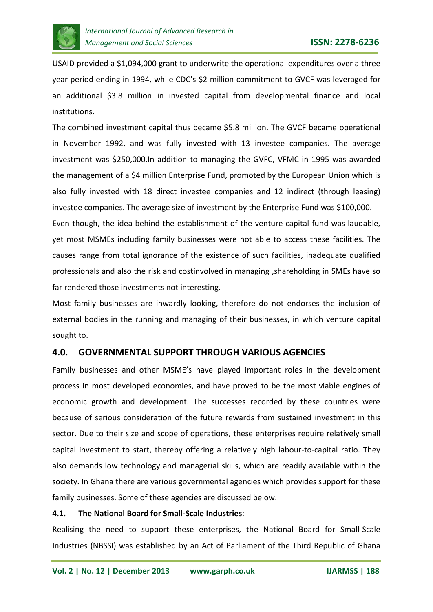

USAID provided a \$1,094,000 grant to underwrite the operational expenditures over a three year period ending in 1994, while CDC's \$2 million commitment to GVCF was leveraged for an additional \$3.8 million in invested capital from developmental finance and local institutions.

The combined investment capital thus became \$5.8 million. The GVCF became operational in November 1992, and was fully invested with 13 investee companies. The average investment was \$250,000.In addition to managing the GVFC, VFMC in 1995 was awarded the management of a \$4 million Enterprise Fund, promoted by the European Union which is also fully invested with 18 direct investee companies and 12 indirect (through leasing) investee companies. The average size of investment by the Enterprise Fund was \$100,000.

Even though, the idea behind the establishment of the venture capital fund was laudable, yet most MSMEs including family businesses were not able to access these facilities. The causes range from total ignorance of the existence of such facilities, inadequate qualified professionals and also the risk and costinvolved in managing ,shareholding in SMEs have so far rendered those investments not interesting.

Most family businesses are inwardly looking, therefore do not endorses the inclusion of external bodies in the running and managing of their businesses, in which venture capital sought to.

# **4.0. GOVERNMENTAL SUPPORT THROUGH VARIOUS AGENCIES**

Family businesses and other MSME's have played important roles in the development process in most developed economies, and have proved to be the most viable engines of economic growth and development. The successes recorded by these countries were because of serious consideration of the future rewards from sustained investment in this sector. Due to their size and scope of operations, these enterprises require relatively small capital investment to start, thereby offering a relatively high labour-to-capital ratio. They also demands low technology and managerial skills, which are readily available within the society. In Ghana there are various governmental agencies which provides support for these family businesses. Some of these agencies are discussed below.

# **4.1. The National Board for Small-Scale Industries**:

Realising the need to support these enterprises, the National Board for Small-Scale Industries (NBSSI) was established by an Act of Parliament of the Third Republic of Ghana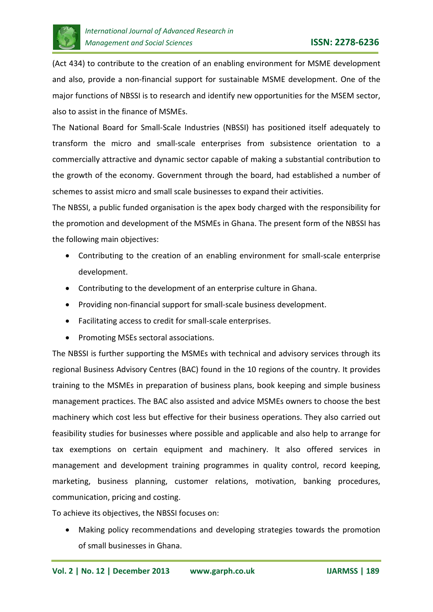

(Act 434) to contribute to the creation of an enabling environment for MSME development and also, provide a non-financial support for sustainable MSME development. One of the major functions of NBSSI is to research and identify new opportunities for the MSEM sector, also to assist in the finance of MSMEs.

The National Board for Small-Scale Industries (NBSSI) has positioned itself adequately to transform the micro and small-scale enterprises from subsistence orientation to a commercially attractive and dynamic sector capable of making a substantial contribution to the growth of the economy. Government through the board, had established a number of schemes to assist micro and small scale businesses to expand their activities.

The NBSSI, a public funded organisation is the apex body charged with the responsibility for the promotion and development of the MSMEs in Ghana. The present form of the NBSSI has the following main objectives:

- Contributing to the creation of an enabling environment for small-scale enterprise development.
- Contributing to the development of an enterprise culture in Ghana.
- Providing non-financial support for small-scale business development.
- Facilitating access to credit for small-scale enterprises.
- Promoting MSEs sectoral associations.

The NBSSI is further supporting the MSMEs with technical and advisory services through its regional Business Advisory Centres (BAC) found in the 10 regions of the country. It provides training to the MSMEs in preparation of business plans, book keeping and simple business management practices. The BAC also assisted and advice MSMEs owners to choose the best machinery which cost less but effective for their business operations. They also carried out feasibility studies for businesses where possible and applicable and also help to arrange for tax exemptions on certain equipment and machinery. It also offered services in management and development training programmes in quality control, record keeping, marketing, business planning, customer relations, motivation, banking procedures, communication, pricing and costing.

To achieve its objectives, the NBSSI focuses on:

• Making policy recommendations and developing strategies towards the promotion of small businesses in Ghana.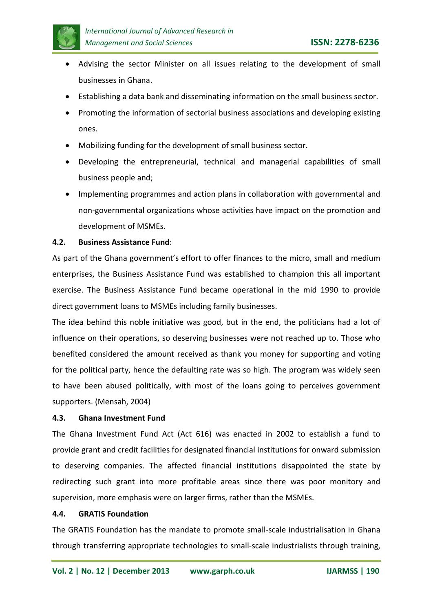

- Advising the sector Minister on all issues relating to the development of small businesses in Ghana.
- Establishing a data bank and disseminating information on the small business sector.
- Promoting the information of sectorial business associations and developing existing ones.
- Mobilizing funding for the development of small business sector.
- Developing the entrepreneurial, technical and managerial capabilities of small business people and;
- Implementing programmes and action plans in collaboration with governmental and non-governmental organizations whose activities have impact on the promotion and development of MSMEs.

## **4.2. Business Assistance Fund**:

As part of the Ghana government's effort to offer finances to the micro, small and medium enterprises, the Business Assistance Fund was established to champion this all important exercise. The Business Assistance Fund became operational in the mid 1990 to provide direct government loans to MSMEs including family businesses.

The idea behind this noble initiative was good, but in the end, the politicians had a lot of influence on their operations, so deserving businesses were not reached up to. Those who benefited considered the amount received as thank you money for supporting and voting for the political party, hence the defaulting rate was so high. The program was widely seen to have been abused politically, with most of the loans going to perceives government supporters. (Mensah, 2004)

#### **4.3. Ghana Investment Fund**

The Ghana Investment Fund Act (Act 616) was enacted in 2002 to establish a fund to provide grant and credit facilities for designated financial institutions for onward submission to deserving companies. The affected financial institutions disappointed the state by redirecting such grant into more profitable areas since there was poor monitory and supervision, more emphasis were on larger firms, rather than the MSMEs.

#### **4.4. GRATIS Foundation**

The GRATIS Foundation has the mandate to promote small-scale industrialisation in Ghana through transferring appropriate technologies to small-scale industrialists through training,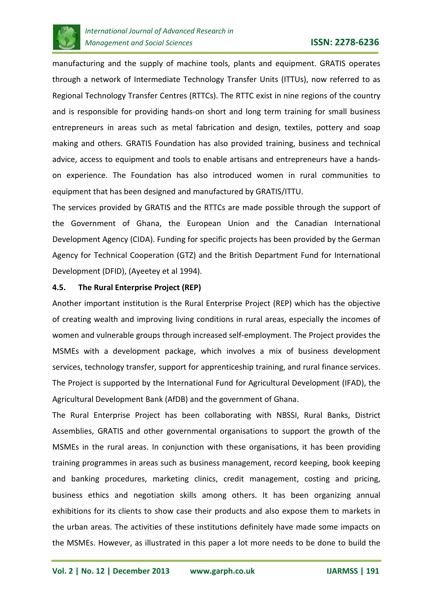

manufacturing and the supply of machine tools, plants and equipment. GRATIS operates through a network of Intermediate Technology Transfer Units (ITTUs), now referred to as Regional Technology Transfer Centres (RTTCs). The RTTC exist in nine regions of the country and is responsible for providing hands-on short and long term training for small business entrepreneurs in areas such as metal fabrication and design, textiles, pottery and soap making and others. GRATIS Foundation has also provided training, business and technical advice, access to equipment and tools to enable artisans and entrepreneurs have a handson experience. The Foundation has also introduced women in rural communities to equipment that has been designed and manufactured by GRATIS/ITTU.

The services provided by GRATIS and the RTTCs are made possible through the support of the Government of Ghana, the European Union and the Canadian International Development Agency (CIDA). Funding for specific projects has been provided by the German Agency for Technical Cooperation (GTZ) and the British Department Fund for International Development (DFID), (Ayeetey et al 1994).

## **4.5. The Rural Enterprise Project (REP)**

Another important institution is the Rural Enterprise Project (REP) which has the objective of creating wealth and improving living conditions in rural areas, especially the incomes of women and vulnerable groups through increased self-employment. The Project provides the MSMEs with a development package, which involves a mix of business development services, technology transfer, support for apprenticeship training, and rural finance services. The Project is supported by the International Fund for Agricultural Development (IFAD), the Agricultural Development Bank (AfDB) and the government of Ghana.

The Rural Enterprise Project has been collaborating with NBSSI, Rural Banks, District Assemblies, GRATIS and other governmental organisations to support the growth of the MSMEs in the rural areas. In conjunction with these organisations, it has been providing training programmes in areas such as business management, record keeping, book keeping and banking procedures, marketing clinics, credit management, costing and pricing, business ethics and negotiation skills among others. It has been organizing annual exhibitions for its clients to show case their products and also expose them to markets in the urban areas. The activities of these institutions definitely have made some impacts on the MSMEs. However, as illustrated in this paper a lot more needs to be done to build the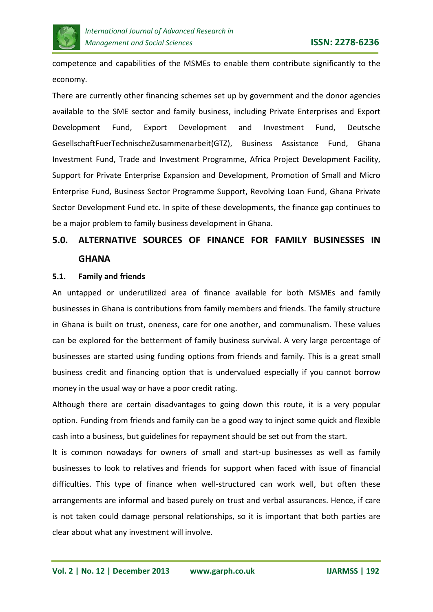

competence and capabilities of the MSMEs to enable them contribute significantly to the economy.

There are currently other financing schemes set up by government and the donor agencies available to the SME sector and family business, including Private Enterprises and Export Development Fund, Export Development and Investment Fund, Deutsche GesellschaftFuerTechnischeZusammenarbeit(GTZ), Business Assistance Fund, Ghana Investment Fund, Trade and Investment Programme, Africa Project Development Facility, Support for Private Enterprise Expansion and Development, Promotion of Small and Micro Enterprise Fund, Business Sector Programme Support, Revolving Loan Fund, Ghana Private Sector Development Fund etc. In spite of these developments, the finance gap continues to be a major problem to family business development in Ghana.

# **5.0. ALTERNATIVE SOURCES OF FINANCE FOR FAMILY BUSINESSES IN GHANA**

#### **5.1. Family and friends**

An untapped or underutilized area of finance available for both MSMEs and family businesses in Ghana is contributions from family members and friends. The family structure in Ghana is built on trust, oneness, care for one another, and communalism. These values can be explored for the betterment of family business survival. A very large percentage of businesses are started using funding options from friends and family. This is a great small business credit and financing option that is undervalued especially if you cannot borrow money in the usual way or have a poor credit rating.

Although there are certain disadvantages to going down this route, it is a very popular option. Funding from friends and family can be a good way to inject some quick and flexible cash into a business, but guidelines for repayment should be set out from the start.

It is common nowadays for owners of small and start-up businesses as well as family businesses to look to relatives and friends for support when faced with issue of financial difficulties. This type of finance when well-structured can work well, but often these arrangements are informal and based purely on trust and verbal assurances. Hence, if care is not taken could damage personal relationships, so it is important that both parties are clear about what any investment will involve.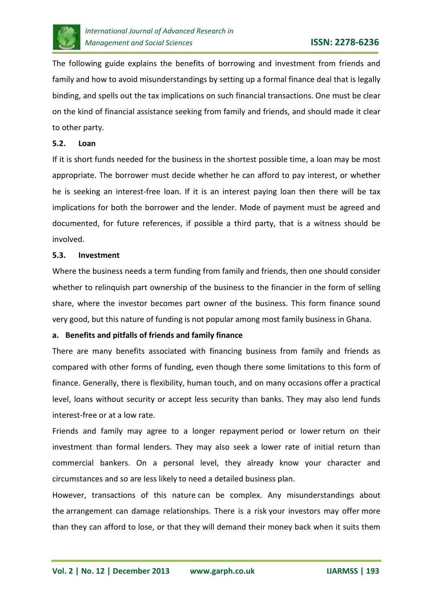

The following guide explains the benefits of borrowing and investment from friends and family and how to avoid misunderstandings by setting up a formal finance deal that is legally binding, and spells out the tax implications on such financial transactions. One must be clear on the kind of financial assistance seeking from family and friends, and should made it clear to other party.

#### **5.2. Loan**

If it is short funds needed for the business in the shortest possible time, a loan may be most appropriate. The borrower must decide whether he can afford to pay interest, or whether he is seeking an interest-free loan. If it is an interest paying loan then there will be tax implications for both the borrower and the lender. Mode of payment must be agreed and documented, for future references, if possible a third party, that is a witness should be involved.

#### **5.3. Investment**

Where the business needs a term funding from family and friends, then one should consider whether to relinquish part ownership of the business to the financier in the form of selling share, where the investor becomes part owner of the business. This form finance sound very good, but this nature of funding is not popular among most family business in Ghana.

#### **a. Benefits and pitfalls of friends and family finance**

There are many benefits associated with financing business from family and friends as compared with other forms of funding, even though there some limitations to this form of finance. Generally, there is flexibility, human touch, and on many occasions offer a practical level, loans without security or accept less security than banks. They may also lend funds interest-free or at a low rate.

Friends and family may agree to a longer repayment period or lower return on their investment than formal lenders. They may also seek a lower rate of initial return than commercial bankers. On a personal level, they already know your character and circumstances and so are less likely to need a detailed business plan.

However, transactions of this nature can be complex. Any misunderstandings about the arrangement can damage relationships. There is a risk your investors may offer more than they can afford to lose, or that they will demand their money back when it suits them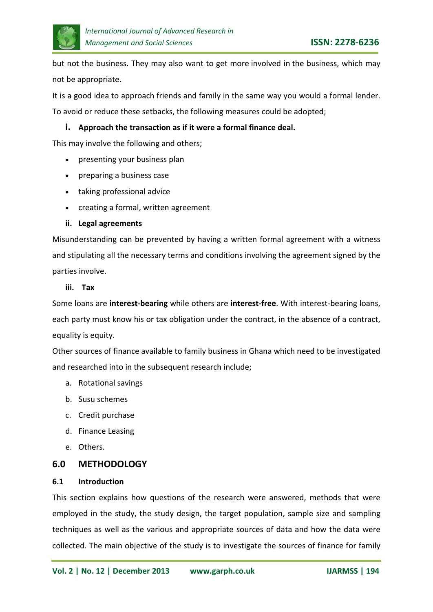

but not the business. They may also want to get more involved in the business, which may not be appropriate.

It is a good idea to approach friends and family in the same way you would a formal lender.

To avoid or reduce these setbacks, the following measures could be adopted;

## **i. Approach the transaction as if it were a formal finance deal.**

This may involve the following and others;

- presenting your business plan
- preparing a business case
- taking professional advice
- creating a formal, written agreement

#### **ii. Legal agreements**

Misunderstanding can be prevented by having a written formal agreement with a witness and stipulating all the necessary terms and conditions involving the agreement signed by the parties involve.

#### **iii. Tax**

Some loans are **interest-bearing** while others are **interest-free**. With interest-bearing loans, each party must know his or tax obligation under the contract, in the absence of a contract, equality is equity.

Other sources of finance available to family business in Ghana which need to be investigated and researched into in the subsequent research include;

- a. Rotational savings
- b. Susu schemes
- c. Credit purchase
- d. Finance Leasing
- e. Others.

# **6.0 METHODOLOGY**

#### **6.1 Introduction**

This section explains how questions of the research were answered, methods that were employed in the study, the study design, the target population, sample size and sampling techniques as well as the various and appropriate sources of data and how the data were collected. The main objective of the study is to investigate the sources of finance for family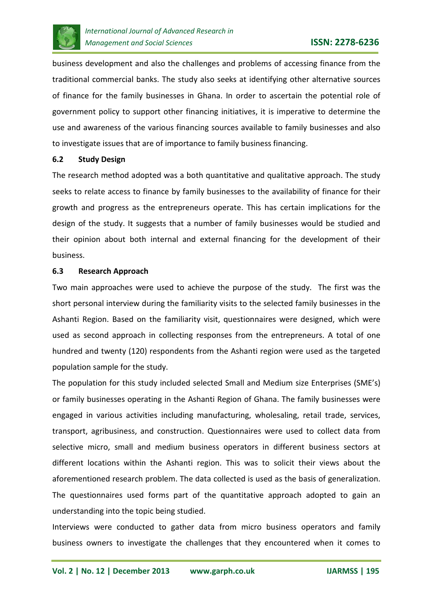

business development and also the challenges and problems of accessing finance from the traditional commercial banks. The study also seeks at identifying other alternative sources of finance for the family businesses in Ghana. In order to ascertain the potential role of government policy to support other financing initiatives, it is imperative to determine the use and awareness of the various financing sources available to family businesses and also to investigate issues that are of importance to family business financing.

#### **6.2 Study Design**

The research method adopted was a both quantitative and qualitative approach. The study seeks to relate access to finance by family businesses to the availability of finance for their growth and progress as the entrepreneurs operate. This has certain implications for the design of the study. It suggests that a number of family businesses would be studied and their opinion about both internal and external financing for the development of their business.

#### **6.3 Research Approach**

Two main approaches were used to achieve the purpose of the study. The first was the short personal interview during the familiarity visits to the selected family businesses in the Ashanti Region. Based on the familiarity visit, questionnaires were designed, which were used as second approach in collecting responses from the entrepreneurs. A total of one hundred and twenty (120) respondents from the Ashanti region were used as the targeted population sample for the study.

The population for this study included selected Small and Medium size Enterprises (SME's) or family businesses operating in the Ashanti Region of Ghana. The family businesses were engaged in various activities including manufacturing, wholesaling, retail trade, services, transport, agribusiness, and construction. Questionnaires were used to collect data from selective micro, small and medium business operators in different business sectors at different locations within the Ashanti region. This was to solicit their views about the aforementioned research problem. The data collected is used as the basis of generalization. The questionnaires used forms part of the quantitative approach adopted to gain an understanding into the topic being studied.

Interviews were conducted to gather data from micro business operators and family business owners to investigate the challenges that they encountered when it comes to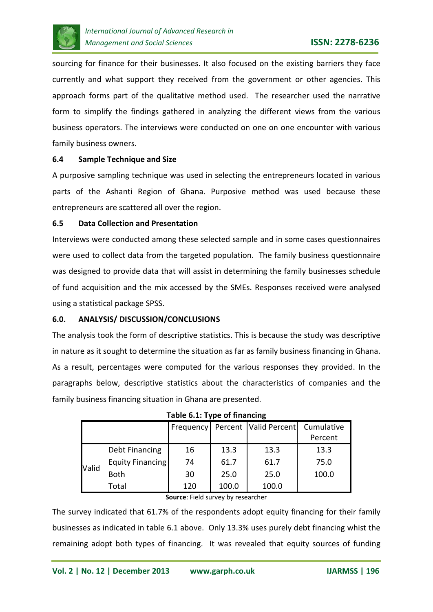

sourcing for finance for their businesses. It also focused on the existing barriers they face currently and what support they received from the government or other agencies. This approach forms part of the qualitative method used. The researcher used the narrative form to simplify the findings gathered in analyzing the different views from the various business operators. The interviews were conducted on one on one encounter with various family business owners.

## **6.4 Sample Technique and Size**

A purposive sampling technique was used in selecting the entrepreneurs located in various parts of the Ashanti Region of Ghana. Purposive method was used because these entrepreneurs are scattered all over the region.

## **6.5 Data Collection and Presentation**

Interviews were conducted among these selected sample and in some cases questionnaires were used to collect data from the targeted population. The family business questionnaire was designed to provide data that will assist in determining the family businesses schedule of fund acquisition and the mix accessed by the SMEs. Responses received were analysed using a statistical package SPSS.

#### **6.0. ANALYSIS/ DISCUSSION/CONCLUSIONS**

The analysis took the form of descriptive statistics. This is because the study was descriptive in nature as it sought to determine the situation as far as family business financing in Ghana. As a result, percentages were computed for the various responses they provided. In the paragraphs below, descriptive statistics about the characteristics of companies and the family business financing situation in Ghana are presented.

|              | <b>Table 0.1. Type of Imancing</b> |     |       |                                                  |         |  |  |  |  |
|--------------|------------------------------------|-----|-------|--------------------------------------------------|---------|--|--|--|--|
|              |                                    |     |       | Frequency   Percent   Valid Percent   Cumulative |         |  |  |  |  |
|              |                                    |     |       |                                                  | Percent |  |  |  |  |
|              | Debt Financing                     | 16  | 13.3  | 13.3                                             | 13.3    |  |  |  |  |
| <b>Valid</b> | Equity Financing                   | 74  | 61.7  | 61.7                                             | 75.0    |  |  |  |  |
|              | <b>Both</b>                        | 30  | 25.0  | 25.0                                             | 100.0   |  |  |  |  |
|              | Total                              | 120 | 100.0 | 100.0                                            |         |  |  |  |  |

|  |  | Table 6.1: Type of financing |  |
|--|--|------------------------------|--|
|--|--|------------------------------|--|

#### **Source**: Field survey by researcher

The survey indicated that 61.7% of the respondents adopt equity financing for their family businesses as indicated in table 6.1 above. Only 13.3% uses purely debt financing whist the remaining adopt both types of financing. It was revealed that equity sources of funding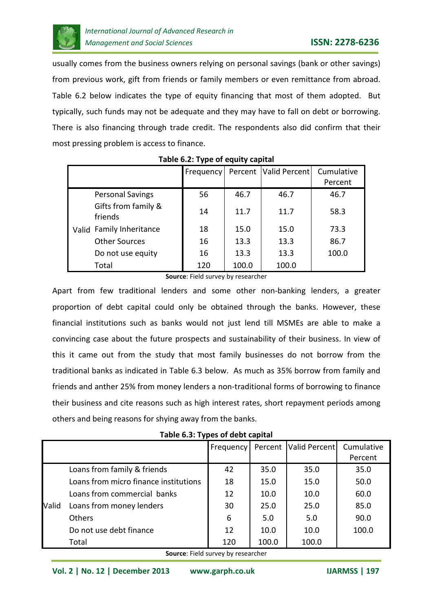

usually comes from the business owners relying on personal savings (bank or other savings) from previous work, gift from friends or family members or even remittance from abroad. Table 6.2 below indicates the type of equity financing that most of them adopted. But typically, such funds may not be adequate and they may have to fall on debt or borrowing. There is also financing through trade credit. The respondents also did confirm that their most pressing problem is access to finance.

|                                | Frequency | Percent | Valid Percent | Cumulative |
|--------------------------------|-----------|---------|---------------|------------|
|                                |           |         |               | Percent    |
| <b>Personal Savings</b>        | 56        | 46.7    | 46.7          | 46.7       |
| Gifts from family &<br>friends | 14        | 11.7    | 11.7          | 58.3       |
| Valid Family Inheritance       | 18        | 15.0    | 15.0          | 73.3       |
| <b>Other Sources</b>           | 16        | 13.3    | 13.3          | 86.7       |
| Do not use equity              | 16        | 13.3    | 13.3          | 100.0      |
| Total                          | 120       | 100.0   | 100.0         |            |

## **Table 6.2: Type of equity capital**

**Source**: Field survey by researcher

Apart from few traditional lenders and some other non-banking lenders, a greater proportion of debt capital could only be obtained through the banks. However, these financial institutions such as banks would not just lend till MSMEs are able to make a convincing case about the future prospects and sustainability of their business. In view of this it came out from the study that most family businesses do not borrow from the traditional banks as indicated in Table 6.3 below. As much as 35% borrow from family and friends and anther 25% from money lenders a non-traditional forms of borrowing to finance their business and cite reasons such as high interest rates, short repayment periods among others and being reasons for shying away from the banks.

**Table 6.3: Types of debt capital**

|       |                                       | Frequency | Percent | Valid Percent | Cumulative |
|-------|---------------------------------------|-----------|---------|---------------|------------|
|       |                                       |           |         |               | Percent    |
|       | Loans from family & friends           | 42        | 35.0    | 35.0          | 35.0       |
|       | Loans from micro finance institutions | 18        | 15.0    | 15.0          | 50.0       |
|       | Loans from commercial banks           | 12        | 10.0    | 10.0          | 60.0       |
| Valid | Loans from money lenders              | 30        | 25.0    | 25.0          | 85.0       |
|       | <b>Others</b>                         | 6         | 5.0     | 5.0           | 90.0       |
|       | Do not use debt finance               | 12        | 10.0    | 10.0          | 100.0      |
|       | Total                                 | 120       | 100.0   | 100.0         |            |

**Source**: Field survey by researcher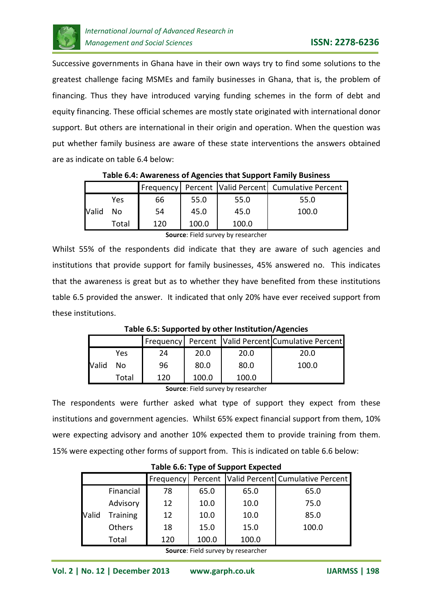

Successive governments in Ghana have in their own ways try to find some solutions to the greatest challenge facing MSMEs and family businesses in Ghana, that is, the problem of financing. Thus they have introduced varying funding schemes in the form of debt and equity financing. These official schemes are mostly state originated with international donor support. But others are international in their origin and operation. When the question was put whether family business are aware of these state interventions the answers obtained are as indicate on table 6.4 below:

|       | Table 6.4: Awareness of Agencies that Support Family Business |     |       |       |                                                    |  |  |
|-------|---------------------------------------------------------------|-----|-------|-------|----------------------------------------------------|--|--|
|       |                                                               |     |       |       | Frequency Percent Valid Percent Cumulative Percent |  |  |
|       | Yes                                                           | 66  | 55.0  | 55.0  | 55.0                                               |  |  |
| Valid | No                                                            | 54  | 45.0  | 45.0  | 100.0                                              |  |  |
|       | Total                                                         | 120 | 100.0 | 100.0 |                                                    |  |  |

**Table 6.4: Awareness of Agencies that Support Family Business**

**Source**: Field survey by researcher

Whilst 55% of the respondents did indicate that they are aware of such agencies and institutions that provide support for family businesses, 45% answered no. This indicates that the awareness is great but as to whether they have benefited from these institutions table 6.5 provided the answer. It indicated that only 20% have ever received support from these institutions.

**Table 6.5: Supported by other Institution/Agencies**

| Yes         | 24  | 20.0  | 20.0  | 20.0  |
|-------------|-----|-------|-------|-------|
| Valid<br>No | 96  | 80.0  | 80.0  | 100.0 |
| Total       | 120 | 100.0 | 100.0 |       |

**Source**: Field survey by researcher

The respondents were further asked what type of support they expect from these institutions and government agencies. Whilst 65% expect financial support from them, 10% were expecting advisory and another 10% expected them to provide training from them. 15% were expecting other forms of support from. This is indicated on table 6.6 below:

| Table 6.6: Type of Support Expected                         |                 |     |       |       |       |  |  |
|-------------------------------------------------------------|-----------------|-----|-------|-------|-------|--|--|
| Percent   Valid Percent   Cumulative Percent  <br>Frequency |                 |     |       |       |       |  |  |
|                                                             | Financial       | 78  | 65.0  | 65.0  | 65.0  |  |  |
| Valid                                                       | Advisory        | 12  | 10.0  | 10.0  | 75.0  |  |  |
|                                                             | <b>Training</b> | 12  | 10.0  | 10.0  | 85.0  |  |  |
|                                                             | Others          | 18  | 15.0  | 15.0  | 100.0 |  |  |
|                                                             | Total           | 120 | 100.0 | 100.0 |       |  |  |

**Source**: Field survey by researcher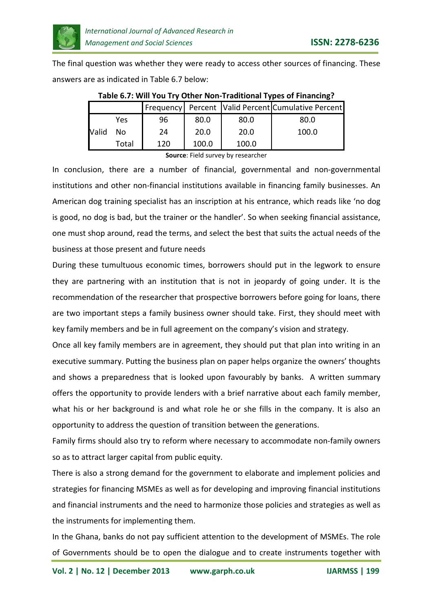

The final question was whether they were ready to access other sources of financing. These answers are as indicated in Table 6.7 below:

|       |       |        |        |       | Frequency Percent Valid Percent Cumulative Percent |
|-------|-------|--------|--------|-------|----------------------------------------------------|
|       | Yes   | 96     | 80.0   | 80.0  | 80.0                                               |
| Valid | No    | 24     | 20.0   | 20.0  | 100.0                                              |
|       | Total | 120    | 100.0  | 100.0 |                                                    |
|       |       | $\sim$ | -- - - |       |                                                    |

**Table 6.7: Will You Try Other Non-Traditional Types of Financing?**

**Source**: Field survey by researcher

In conclusion, there are a number of financial, governmental and non-governmental institutions and other non-financial institutions available in financing family businesses. An American dog training specialist has an inscription at his entrance, which reads like 'no dog is good, no dog is bad, but the trainer or the handler'. So when seeking financial assistance, one must shop around, read the terms, and select the best that suits the actual needs of the business at those present and future needs

During these tumultuous economic times, borrowers should put in the legwork to ensure they are partnering with an institution that is not in jeopardy of going under. It is the recommendation of the researcher that prospective borrowers before going for loans, there are two important steps a family business owner should take. First, they should meet with key family members and be in full agreement on the company's vision and strategy.

Once all key family members are in agreement, they should put that plan into writing in an executive summary. Putting the business plan on paper helps organize the owners' thoughts and shows a preparedness that is looked upon favourably by banks. A written summary offers the opportunity to provide lenders with a brief narrative about each family member, what his or her background is and what role he or she fills in the company. It is also an opportunity to address the question of transition between the generations.

Family firms should also try to reform where necessary to accommodate non-family owners so as to attract larger capital from public equity.

There is also a strong demand for the government to elaborate and implement policies and strategies for financing MSMEs as well as for developing and improving financial institutions and financial instruments and the need to harmonize those policies and strategies as well as the instruments for implementing them.

In the Ghana, banks do not pay sufficient attention to the development of MSMEs. The role of Governments should be to open the dialogue and to create instruments together with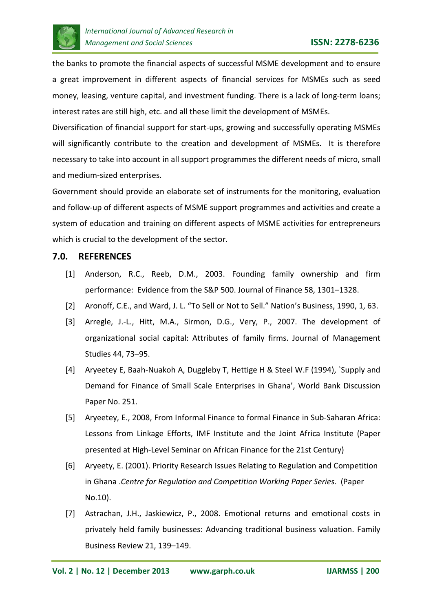

the banks to promote the financial aspects of successful MSME development and to ensure a great improvement in different aspects of financial services for MSMEs such as seed money, leasing, venture capital, and investment funding. There is a lack of long-term loans; interest rates are still high, etc. and all these limit the development of MSMEs.

Diversification of financial support for start-ups, growing and successfully operating MSMEs will significantly contribute to the creation and development of MSMEs. It is therefore necessary to take into account in all support programmes the different needs of micro, small and medium-sized enterprises.

Government should provide an elaborate set of instruments for the monitoring, evaluation and follow-up of different aspects of MSME support programmes and activities and create a system of education and training on different aspects of MSME activities for entrepreneurs which is crucial to the development of the sector.

# **7.0. REFERENCES**

- [1] Anderson, R.C., Reeb, D.M., 2003. Founding family ownership and firm performance: Evidence from the S&P 500. Journal of Finance 58, 1301–1328.
- [2] Aronoff, C.E., and Ward, J. L. "To Sell or Not to Sell." Nation's Business, 1990, 1, 63.
- [3] Arregle, J.-L., Hitt, M.A., Sirmon, D.G., Very, P., 2007. The development of organizational social capital: Attributes of family firms. Journal of Management Studies 44, 73–95.
- [4] Aryeetey E, Baah-Nuakoh A, Duggleby T, Hettige H & Steel W.F (1994), `Supply and Demand for Finance of Small Scale Enterprises in Ghana', World Bank Discussion Paper No. 251.
- [5] Aryeetey, E., 2008, From Informal Finance to formal Finance in Sub-Saharan Africa: Lessons from Linkage Efforts, IMF Institute and the Joint Africa Institute (Paper presented at High-Level Seminar on African Finance for the 21st Century)
- [6] Aryeety, E. (2001). Priority Research Issues Relating to Regulation and Competition in Ghana .*Centre for Regulation and Competition Working Paper Series*. (Paper No.10).
- [7] Astrachan, J.H., Jaskiewicz, P., 2008. Emotional returns and emotional costs in privately held family businesses: Advancing traditional business valuation. Family Business Review 21, 139–149.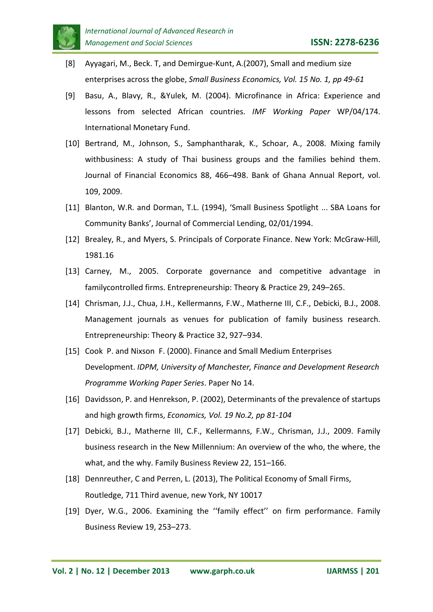

- [8] Ayyagari, M., Beck. T, and Demirgue-Kunt, A.(2007), Small and medium size enterprises across the globe, *Small Business Economics, Vol. 15 No. 1, pp 49-61*
- [9] Basu, A., Blavy, R., &Yulek, M. (2004). Microfinance in Africa: Experience and lessons from selected African countries. *IMF Working Paper* WP/04/174. International Monetary Fund.
- [10] Bertrand, M., Johnson, S., Samphantharak, K., Schoar, A., 2008. Mixing family withbusiness: A study of Thai business groups and the families behind them. Journal of Financial Economics 88, 466–498. Bank of Ghana Annual Report, vol. 109, 2009.
- [11] Blanton, W.R. and Dorman, T.L. (1994), 'Small Business Spotlight ... SBA Loans for Community Banks', Journal of Commercial Lending, 02/01/1994.
- [12] Brealey, R., and Myers, S. Principals of Corporate Finance. New York: McGraw-Hill, 1981.16
- [13] Carney, M., 2005. Corporate governance and competitive advantage in familycontrolled firms. Entrepreneurship: Theory & Practice 29, 249–265.
- [14] Chrisman, J.J., Chua, J.H., Kellermanns, F.W., Matherne III, C.F., Debicki, B.J., 2008. Management journals as venues for publication of family business research. Entrepreneurship: Theory & Practice 32, 927–934.
- [15] Cook P. and Nixson F. (2000). Finance and Small Medium Enterprises Development. *IDPM, University of Manchester, Finance and Development Research Programme Working Paper Series*. Paper No 14.
- [16] Davidsson, P. and Henrekson, P. (2002), Determinants of the prevalence of startups and high growth firms, *Economics, Vol. 19 No.2, pp 81-104*
- [17] Debicki, B.J., Matherne III, C.F., Kellermanns, F.W., Chrisman, J.J., 2009. Family business research in the New Millennium: An overview of the who, the where, the what, and the why. Family Business Review 22, 151–166.
- [18] Dennreuther, C and Perren, L. (2013), The Political Economy of Small Firms, Routledge, 711 Third avenue, new York, NY 10017
- [19] Dyer, W.G., 2006. Examining the ''family effect'' on firm performance. Family Business Review 19, 253–273.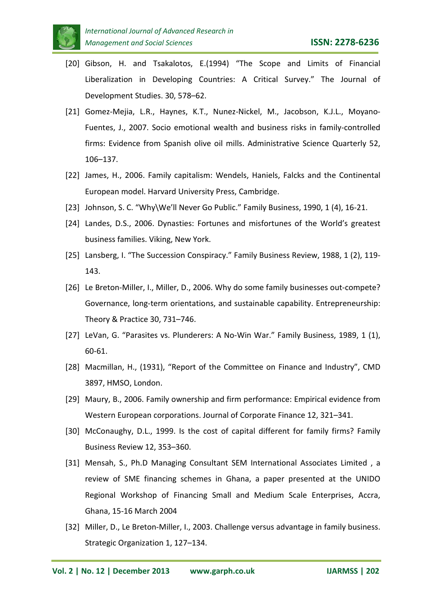

- [20] Gibson, H. and Tsakalotos, E.(1994) "The Scope and Limits of Financial Liberalization in Developing Countries: A Critical Survey." The Journal of Development Studies. 30, 578–62.
- [21] Gomez-Mejia, L.R., Haynes, K.T., Nunez-Nickel, M., Jacobson, K.J.L., Moyano-Fuentes, J., 2007. Socio emotional wealth and business risks in family-controlled firms: Evidence from Spanish olive oil mills. Administrative Science Quarterly 52, 106–137.
- [22] James, H., 2006. Family capitalism: Wendels, Haniels, Falcks and the Continental European model. Harvard University Press, Cambridge.
- [23] Johnson, S. C. "Why\We'll Never Go Public." Family Business, 1990, 1 (4), 16-21.
- [24] Landes, D.S., 2006. Dynasties: Fortunes and misfortunes of the World's greatest business families. Viking, New York.
- [25] Lansberg, I. "The Succession Conspiracy." Family Business Review, 1988, 1 (2), 119- 143.
- [26] Le Breton-Miller, I., Miller, D., 2006. Why do some family businesses out-compete? Governance, long-term orientations, and sustainable capability. Entrepreneurship: Theory & Practice 30, 731–746.
- [27] LeVan, G. "Parasites vs. Plunderers: A No-Win War." Family Business, 1989, 1 (1), 60-61.
- [28] Macmillan, H., (1931), "Report of the Committee on Finance and Industry", CMD 3897, HMSO, London.
- [29] Maury, B., 2006. Family ownership and firm performance: Empirical evidence from Western European corporations. Journal of Corporate Finance 12, 321–341.
- [30] McConaughy, D.L., 1999. Is the cost of capital different for family firms? Family Business Review 12, 353–360.
- [31] Mensah, S., Ph.D Managing Consultant SEM International Associates Limited , a review of SME financing schemes in Ghana, a paper presented at the UNIDO Regional Workshop of Financing Small and Medium Scale Enterprises, Accra, Ghana, 15-16 March 2004
- [32] Miller, D., Le Breton-Miller, I., 2003. Challenge versus advantage in family business. Strategic Organization 1, 127–134.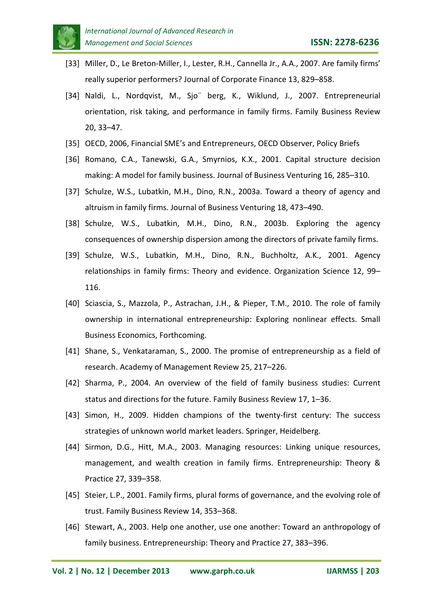

- [33] Miller, D., Le Breton-Miller, I., Lester, R.H., Cannella Jr., A.A., 2007. Are family firms' really superior performers? Journal of Corporate Finance 13, 829–858.
- [34] Naldi, L., Nordqvist, M., Sjo¨ berg, K., Wiklund, J., 2007. Entrepreneurial orientation, risk taking, and performance in family firms. Family Business Review 20, 33–47.
- [35] OECD, 2006, Financial SME's and Entrepreneurs, OECD Observer, Policy Briefs
- [36] Romano, C.A., Tanewski, G.A., Smyrnios, K.X., 2001. Capital structure decision making: A model for family business. Journal of Business Venturing 16, 285–310.
- [37] Schulze, W.S., Lubatkin, M.H., Dino, R.N., 2003a. Toward a theory of agency and altruism in family firms. Journal of Business Venturing 18, 473–490.
- [38] Schulze, W.S., Lubatkin, M.H., Dino, R.N., 2003b. Exploring the agency consequences of ownership dispersion among the directors of private family firms.
- [39] Schulze, W.S., Lubatkin, M.H., Dino, R.N., Buchholtz, A.K., 2001. Agency relationships in family firms: Theory and evidence. Organization Science 12, 99– 116.
- [40] Sciascia, S., Mazzola, P., Astrachan, J.H., & Pieper, T.M., 2010. The role of family ownership in international entrepreneurship: Exploring nonlinear effects. Small Business Economics, Forthcoming.
- [41] Shane, S., Venkataraman, S., 2000. The promise of entrepreneurship as a field of research. Academy of Management Review 25, 217–226.
- [42] Sharma, P., 2004. An overview of the field of family business studies: Current status and directions for the future. Family Business Review 17, 1–36.
- [43] Simon, H., 2009. Hidden champions of the twenty-first century: The success strategies of unknown world market leaders. Springer, Heidelberg.
- [44] Sirmon, D.G., Hitt, M.A., 2003. Managing resources: Linking unique resources, management, and wealth creation in family firms. Entrepreneurship: Theory & Practice 27, 339–358.
- [45] Steier, L.P., 2001. Family firms, plural forms of governance, and the evolving role of trust. Family Business Review 14, 353–368.
- [46] Stewart, A., 2003. Help one another, use one another: Toward an anthropology of family business. Entrepreneurship: Theory and Practice 27, 383–396.